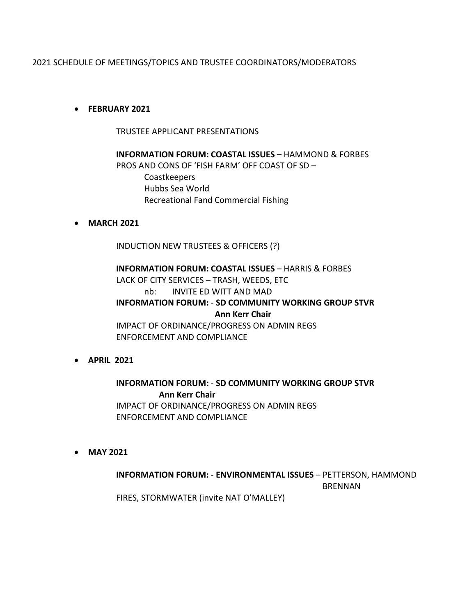# 2021 SCHEDULE OF MEETINGS/TOPICS AND TRUSTEE COORDINATORS/MODERATORS

## • **FEBRUARY 2021**

TRUSTEE APPLICANT PRESENTATIONS

**INFORMATION FORUM: COASTAL ISSUES –** HAMMOND & FORBES PROS AND CONS OF 'FISH FARM' OFF COAST OF SD – Coastkeepers Hubbs Sea World Recreational Fand Commercial Fishing

## • **MARCH 2021**

INDUCTION NEW TRUSTEES & OFFICERS (?)

**INFORMATION FORUM: COASTAL ISSUES** – HARRIS & FORBES LACK OF CITY SERVICES – TRASH, WEEDS, ETC nb: INVITE ED WITT AND MAD **INFORMATION FORUM:** - **SD COMMUNITY WORKING GROUP STVR Ann Kerr Chair** IMPACT OF ORDINANCE/PROGRESS ON ADMIN REGS ENFORCEMENT AND COMPLIANCE

• **APRIL 2021**

**INFORMATION FORUM:** - **SD COMMUNITY WORKING GROUP STVR Ann Kerr Chair** IMPACT OF ORDINANCE/PROGRESS ON ADMIN REGS ENFORCEMENT AND COMPLIANCE

• **MAY 2021**

# **INFORMATION FORUM:** - **ENVIRONMENTAL ISSUES** – PETTERSON, HAMMOND BRENNAN FIRES, STORMWATER (invite NAT O'MALLEY)